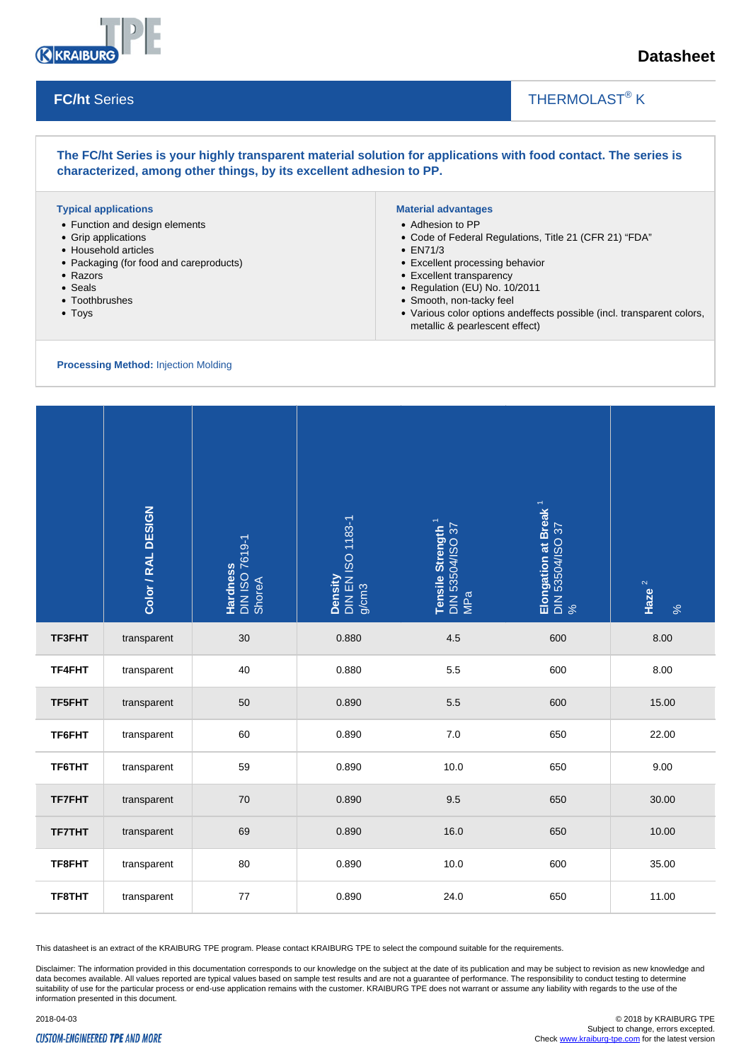

**FC/ht** Series

## **Datasheet**

### THERMOLAST<sup>®</sup> K

### **The FC/ht Series is your highly transparent material solution for applications with food contact. The series is characterized, among other things, by its excellent adhesion to PP.**

#### **Typical applications**

- Function and design elements
- Grip applications
- Household articles
- Packaging (for food and careproducts)
- Razors
- Seals
- Toothbrushes
- Toys

### **Material advantages**

- Adhesion to PP
- Code of Federal Regulations, Title 21 (CFR 21) "FDA"

 $\overline{\phantom{a}}$ 

- EN71/3
- Excellent processing behavior
- Excellent transparency
- Regulation (EU) No. 10/2011
- Smooth, non-tacky feel
- Various color options andeffects possible (incl. transparent colors, metallic & pearlescent effect)

### **Processing Method:** Injection Molding

|               | Color / RAL DESIGN | Hardness<br>DIN ISO 7619-1<br>ShoreA | Density<br>DIN EN ISO 1183-1<br>g/cm3 | Tensile Strength <sup>1</sup><br>DIN 53504/ISO 37<br>MPa | Elongation at Break <sup>1</sup><br>DIN 53504/ISO 37<br>% | Haze $^2$<br>$\%$ |
|---------------|--------------------|--------------------------------------|---------------------------------------|----------------------------------------------------------|-----------------------------------------------------------|-------------------|
| TF3FHT        | transparent        | 30                                   | 0.880                                 | 4.5                                                      | 600                                                       | 8.00              |
| TF4FHT        | transparent        | 40                                   | 0.880                                 | 5.5                                                      | 600                                                       | 8.00              |
| TF5FHT        | transparent        | 50                                   | 0.890                                 | 5.5                                                      | 600                                                       | 15.00             |
| TF6FHT        | transparent        | 60                                   | 0.890                                 | $7.0\,$                                                  | 650                                                       | 22.00             |
| TF6THT        | transparent        | 59                                   | 0.890                                 | 10.0                                                     | 650                                                       | 9.00              |
| <b>TF7FHT</b> | transparent        | 70                                   | 0.890                                 | 9.5                                                      | 650                                                       | 30.00             |
| <b>TF7THT</b> | transparent        | 69                                   | 0.890                                 | 16.0                                                     | 650                                                       | 10.00             |
| TF8FHT        | transparent        | 80                                   | 0.890                                 | 10.0                                                     | 600                                                       | 35.00             |
| TF8THT        | transparent        | 77                                   | 0.890                                 | 24.0                                                     | 650                                                       | 11.00             |

This datasheet is an extract of the KRAIBURG TPE program. Please contact KRAIBURG TPE to select the compound suitable for the requirements.

Disclaimer: The information provided in this documentation corresponds to our knowledge on the subject at the date of its publication and may be subject to revision as new knowledge and data becomes available. All values reported are typical values based on sample test results and are not a guarantee of performance. The responsibility to conduct testing to determine suitability of use for the particular process or end-use application remains with the customer. KRAIBURG TPE does not warrant or assume any liability with regards to the use of the information presented in this document.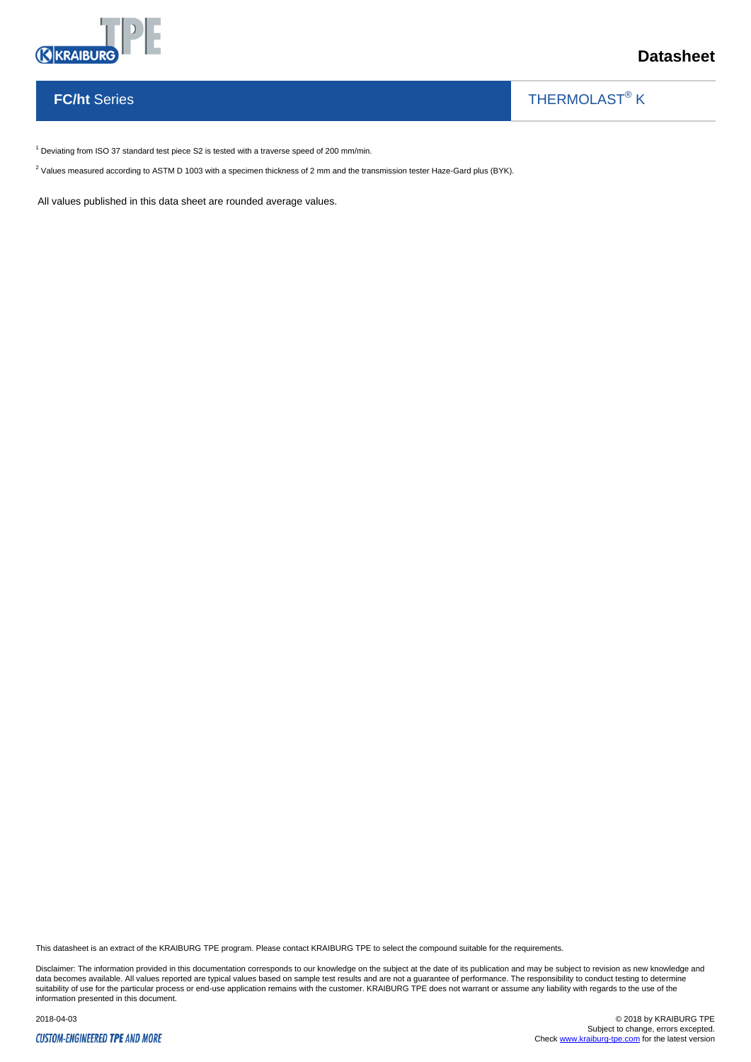

## **FC/ht** Series

THERMOLAST<sup>®</sup> K

 $\overline{\phantom{a}}$ 

 $1$  Deviating from ISO 37 standard test piece S2 is tested with a traverse speed of 200 mm/min.

 $^2$  Values measured according to ASTM D 1003 with a specimen thickness of 2 mm and the transmission tester Haze-Gard plus (BYK).

All values published in this data sheet are rounded average values.

This datasheet is an extract of the KRAIBURG TPE program. Please contact KRAIBURG TPE to select the compound suitable for the requirements.

Disclaimer: The information provided in this documentation corresponds to our knowledge on the subject at the date of its publication and may be subject to revision as new knowledge and data becomes available. All values reported are typical values based on sample test results and are not a guarantee of performance. The responsibility to conduct testing to determine<br>suitability of use for the particular p